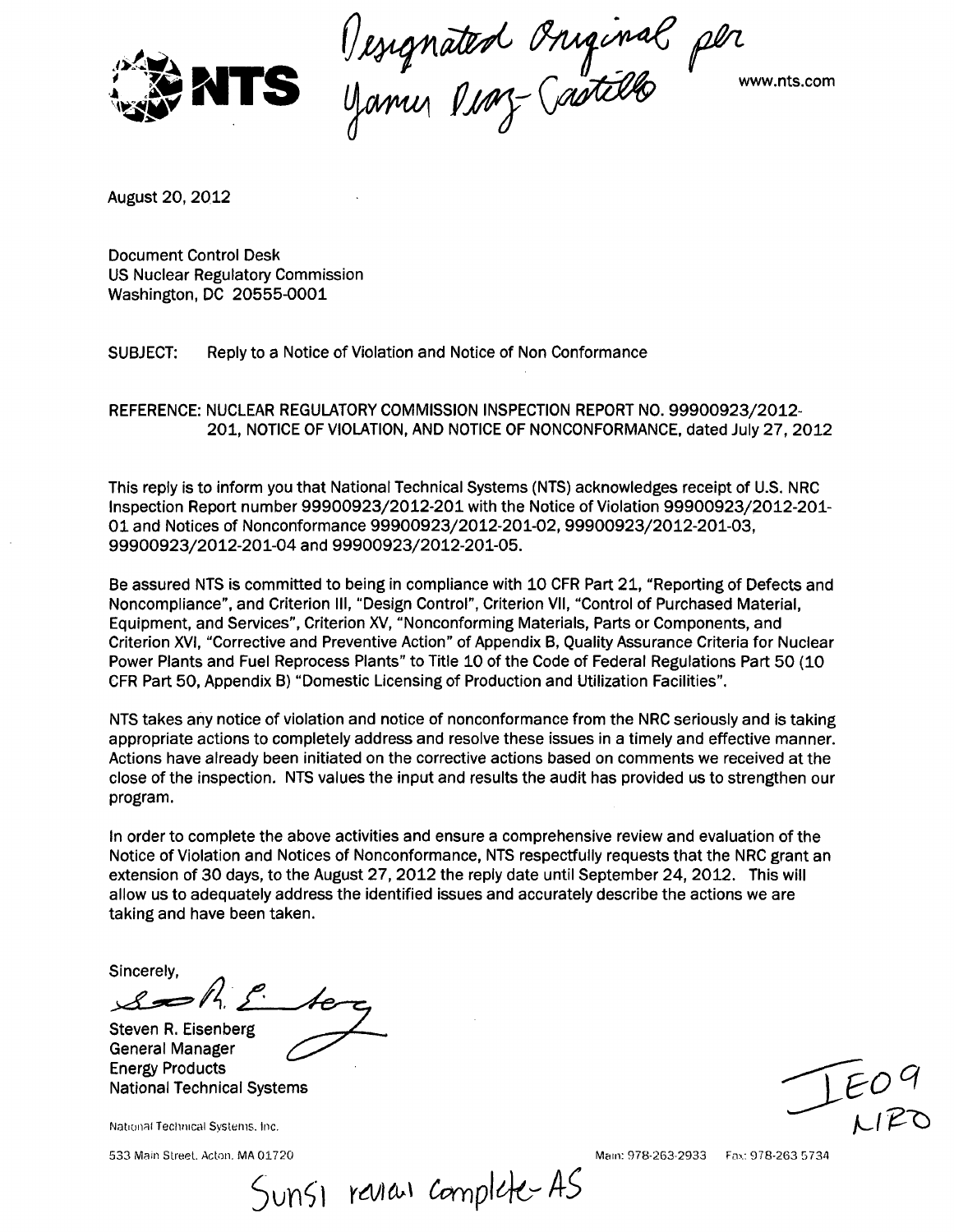

Vesignated Oniginal per

www.nts.com

August 20, 2012

Document Control Desk US Nuclear Regulatory Commission Washington, DC 20555-0001

SUBJECT: Reply to a Notice of Violation and Notice of Non Conformance

REFERENCE: NUCLEAR REGULATORY COMMISSION INSPECTION REPORT NO. 99900923/2012- 201, NOTICE OF VIOLATION, AND NOTICE OF NONCONFORMANCE, dated July 27, 2012

This reply is to inform you that National Technical Systems (NTS) acknowledges receipt of U.S. NRC Inspection Report number 99900923/2012-201 with the Notice of Violation 99900923/2012-201- 01 and Notices of Nonconformance 99900923/2012-201-02, 99900923/2012-201-03, 99900923/2012-201-04 and 99900923/2012-201-05.

Be assured NTS is committed to being in compliance with 10 CFR Part 21, "Reporting of Defects and Noncompliance", and Criterion Ill, "Design Control", Criterion VII, "Control of Purchased Material, Equipment, and Services", Criterion XV, "Nonconforming Materials, Parts or Components, and Criterion XVI, "Corrective and Preventive Action" of Appendix B, Quality Assurance Criteria for Nuclear Power Plants and Fuel Reprocess Plants" to Title 10 of the Code of Federal Regulations Part 50 (10 CFR Part 50, Appendix B) "Domestic Licensing of Production and Utilization Facilities".

NTS takes any notice of violation and notice of nonconformance from the NRC seriously and is taking appropriate actions to completely address and resolve these issues in a timely and effective manner. Actions have already been initiated on the corrective actions based on comments we received at the close of the inspection. NTS values the input and results the audit has provided us to strengthen our program.

In order to complete the above activities and ensure a comprehensive review and evaluation of the Notice of Violation and Notices of Nonconformance, NTS respectfully requests that the NRC grant an extension of 30 days, to the August 27, 2012 the reply date until September 24, 2012. This will allow us to adequately address the identified issues and accurately describe the actions we are taking and have been taken.

Sincerely,

 $s = h f$  be

Steven R. Eisenberg General Manager Energy Products Energy Products<br>
National Technical Systems . 000 minutes . 000 minutes . 000 minutes . 000 minutes . 000 minutes . 000 minutes<br>
1 EO Minutes . 000 minutes . 000 minutes . 000 minutes . 000 minutes . 000 minutes . 000 minu

National Technical Svstenis. Inc.

Sunsi review complete-AS

533 Main Street. AcLon. MA 01720 Main: 978-263-2933 Fax: 978-263 5734